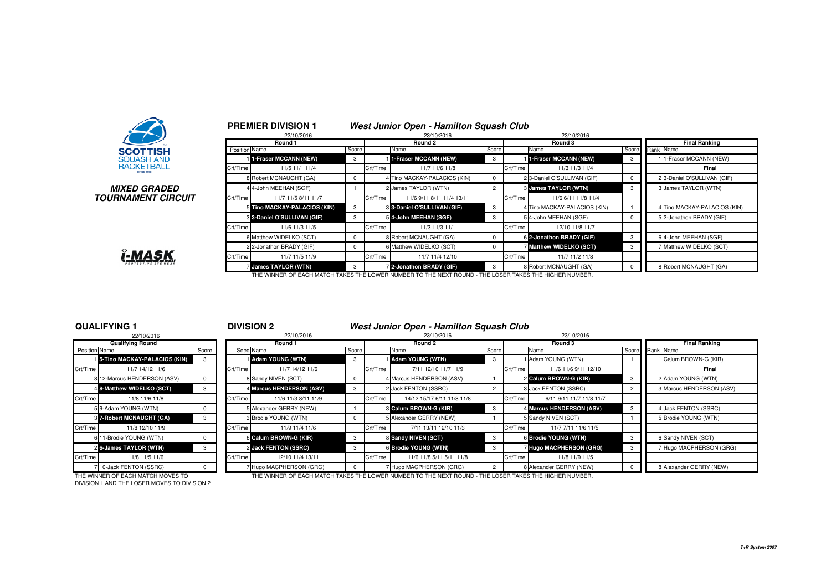

### **MIXED GRADEDTOURNAMENT CIRCUIT**

|               | 22/10/2016                   |            |          | 23/10/2016                   |                |          | 23/10/2016                   |          |           |                              |
|---------------|------------------------------|------------|----------|------------------------------|----------------|----------|------------------------------|----------|-----------|------------------------------|
|               | Round 1                      |            |          | Round 2                      |                |          | Round 3                      |          |           | <b>Final Ranking</b>         |
| Position Name |                              | Score      |          | Name                         | <b>Score</b>   |          | Name                         | Score    | Rank Name |                              |
|               | 1-Fraser MCCANN (NEW)        | 3          |          | 1-Fraser MCCANN (NEW)        | 3              |          | 1-Fraser MCCANN (NEW)        | 3        |           | 1-Fraser MCCANN (NEW)        |
| Crt/Time      | 11/5 11/1 11/4               |            | Crt/Time | 11/7 11/6 11/8               |                | Crt/Time | 11/3 11/3 11/4               |          |           | Final                        |
|               | 8 Robert MCNAUGHT (GA)       | 0          |          | 4 Tino MACKAY-PALACIOS (KIN) | 0              |          | 2 3-Daniel O'SULLIVAN (GIF)  | 0        |           | 2 3-Daniel O'SULLIVAN (GIF)  |
|               | 4 4-John MEEHAN (SGF)        |            |          | 2 James TAYLOR (WTN)         | $\overline{2}$ |          | <b>8 James TAYLOR (WTN)</b>  | 3        |           | 3 James TAYLOR (WTN)         |
| Crt/Time      | 11/7 11/5 8/11 11/7          |            | Crt/Time | 11/6 9/11 8/11 11/4 13/11    |                | Crt/Time | 11/6 6/11 11/8 11/4          |          |           |                              |
|               | 5 Tino MACKAY-PALACIOS (KIN) | 3          |          | 3-Daniel O'SULLIVAN (GIF)    | 3              |          | 4 Tino MACKAY-PALACIOS (KIN) |          |           | 4 Tino MACKAY-PALACIOS (KIN) |
|               | 3 3-Daniel O'SULLIVAN (GIF)  | 3          |          | 5 4-John MEEHAN (SGF)        | 3              |          | 54-John MEEHAN (SGF)         | $\Omega$ |           | 52-Jonathon BRADY (GIF)      |
| Crt/Time      | 11/6 11/3 11/5               |            | Crt/Time | 11/3 11/3 11/1               |                | Crt/Time | 12/10 11/8 11/7              |          |           |                              |
|               | 6 Matthew WIDELKO (SCT)      | $\Omega$   |          | 8 Robert MCNAUGHT (GA)       | $\Omega$       |          | 6 2-Jonathon BRADY (GIF)     | 3        |           | 6 4-John MEEHAN (SGF)        |
|               | 2 2-Jonathon BRADY (GIF)     | $^{\circ}$ |          | 6 Matthew WIDELKO (SCT)      | $^{\circ}$     |          | Matthew WIDELKO (SCT)        | 3        |           | 7 Matthew WIDELKO (SCT)      |
| Crt/Time      | 11/7 11/5 11/9               |            | Crt/Time | 11/7 11/4 12/10              |                | Crt/Time | 11/7 11/2 11/8               |          |           |                              |
|               | James TAYLOR (WTN)           | 3          |          | 2-Jonathon BRADY (GIF)       | 3              |          | 8 Robert MCNAUGHT (GA)       |          |           | 8 Robert MCNAUGHT (GA)       |

# **Î-MASK**

### **QUALIFYING 1**

#### <sup>1</sup> **DIVISION 2 West Junior Open - Hamilton Squash Club**

|               | 22/10/2016                    |       |          | 22/10/2016               |            |          | 23/10/2016                 |       |          | 23/10/2016               |                          |
|---------------|-------------------------------|-------|----------|--------------------------|------------|----------|----------------------------|-------|----------|--------------------------|--------------------------|
|               | <b>Qualifying Round</b>       |       |          | Round 1                  |            |          | Round 2                    |       |          | Round 3                  | <b>Final Ranking</b>     |
| Position Name |                               | Score |          | Seed Name                | Score      |          | Name                       | Score |          | Name                     | Score Rank Name          |
|               | 15-Tino MACKAY-PALACIOS (KIN) |       |          | <b>Adam YOUNG (WTN)</b>  | 3          |          | i Adam YOUNG (WTN)         |       |          | 1 Adam YOUNG (WTN)       | 1 Calum BROWN-G (KIR)    |
| Crt/Time      | 11/7 14/12 11/6               |       | Crt/Time | 11/7 14/12 11/6          |            | Crt/Time | 7/11 12/10 11/7 11/9       |       | Crt/Time | 11/6 11/6 9/11 12/10     | Final                    |
|               | 8 12-Marcus HENDERSON (ASV)   |       |          | 8 Sandy NIVEN (SCT)      | $^{\circ}$ |          | 4 Marcus HENDERSON (ASV)   |       |          | 2 Calum BROWN-G (KIR)    | 2 Adam YOUNG (WTN)       |
|               | 4 8-Matthew WIDELKO (SCT)     |       |          | 4 Marcus HENDERSON (ASV) | 3          |          | 2 Jack FENTON (SSRC)       |       |          | 3 Jack FENTON (SSRC)     | 3 Marcus HENDERSON (ASV) |
| Crt/Time      | 11/8 11/6 11/8                |       | Crt/Time | 11/6 11/3 8/11 11/9      |            | Crt/Time | 14/12 15/17 6/11 11/8 11/8 |       | Crt/Time | 6/11 9/11 11/7 11/8 11/7 |                          |
|               | 5 9-Adam YOUNG (WTN)          |       |          | 5 Alexander GERRY (NEW)  |            |          | 3 Calum BROWN-G (KIR)      |       |          | 4 Marcus HENDERSON (ASV) | 4 Jack FENTON (SSRC)     |
|               | 3 7-Robert MCNAUGHT (GA)      |       |          | 3 Brodie YOUNG (WTN)     | $^{\circ}$ |          | 5 Alexander GERRY (NEW)    |       |          | 5 Sandy NIVEN (SCT)      | 5 Brodie YOUNG (WTN)     |
| Crt/Time      | 11/8 12/10 11/9               |       | Crt/Time | 11/9 11/4 11/6           |            | Crt/Time | 7/11 13/11 12/10 11/3      |       | Crt/Time | 11/7 7/11 11/6 11/5      |                          |
|               | 6 11-Brodie YOUNG (WTN)       |       |          | 6 Calum BROWN-G (KIR)    | 3          |          | 8 Sandy NIVEN (SCT)        |       |          | 6 Brodie YOUNG (WTN)     | 6 Sandy NIVEN (SCT)      |
|               | 2 6-James TAYLOR (WTN)        |       |          | 2 Jack FENTON (SSRC)     | 3          |          | 6 Brodie YOUNG (WTN)       |       |          | Hugo MACPHERSON (GRG)    | 7 Hugo MACPHERSON (GRG)  |
| Crt/Time      | 11/8 11/5 11/6                |       | Crt/Time | 12/10 11/4 13/11         |            | Crt/Time | 11/6 11/8 5/11 5/11 11/8   |       | Crt/Time | 11/8 11/9 11/5           |                          |
|               | 710-Jack FENTON (SSRC)        |       |          | 7 Hugo MACPHERSON (GRG)  | $^{\circ}$ |          | 7 Hugo MACPHERSON (GRG)    |       |          | 8 Alexander GERRY (NEW)  | 8 Alexander GERRY (NEW)  |

DIVISION 1 AND THE LOSER MOVES TO DIVISION 2

THE WINNER OF EACH MATCH MOVES TO THE WINNER OF EACH MATCH TAKES THE LOWER NUMBER TO THE NEXT ROUND - THE LOSER TAKES THE HIGHER NUMBER.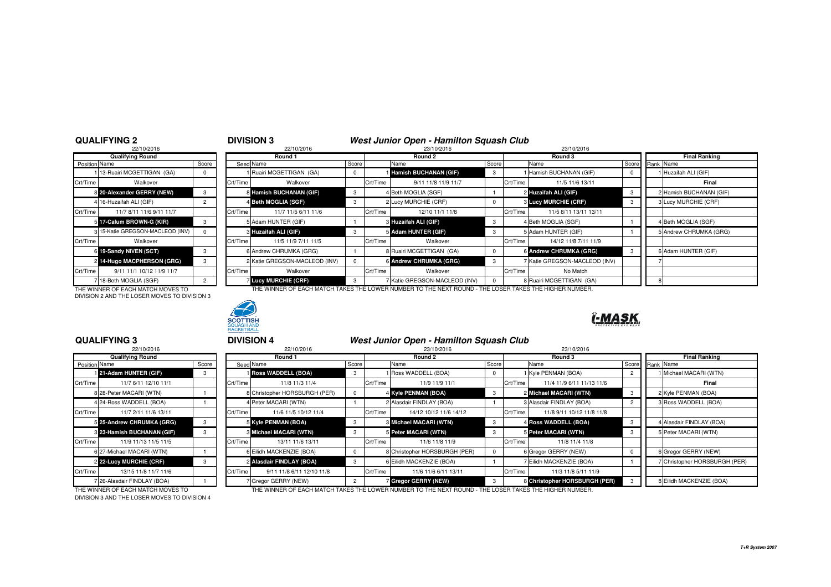### **QUALIFYING 2**

| 22/10/2016                |                                                                                                                                                               |          |
|---------------------------|---------------------------------------------------------------------------------------------------------------------------------------------------------------|----------|
| <b>Qualifying Round</b>   |                                                                                                                                                               |          |
|                           | Score                                                                                                                                                         | Seed     |
| 13-Ruairi MCGETTIGAN (GA) | 0                                                                                                                                                             |          |
| Walkover                  |                                                                                                                                                               | Crt/Time |
|                           | 3                                                                                                                                                             | 8        |
|                           | $\overline{2}$                                                                                                                                                | 4        |
| 11/7 8/11 11/6 9/11 11/7  |                                                                                                                                                               | Crt/Time |
|                           | 3                                                                                                                                                             | 5        |
|                           | U                                                                                                                                                             | 3        |
| Walkover                  |                                                                                                                                                               | Crt/Time |
| 19-Sandy NIVEN (SCT)      | 3                                                                                                                                                             | 6        |
| 14-Hugo MACPHERSON (GRG)  | 3                                                                                                                                                             | 2        |
| 9/11 11/1 10/12 11/9 11/7 |                                                                                                                                                               | Crt/Time |
| 18-Beth MOGLIA (SGF)      | $\overline{c}$                                                                                                                                                |          |
|                           | Position Name<br>8 20-Alexander GERRY (NEW)<br>4 16-Huzaifah ALI (GIF)<br>5 17-Calum BROWN-G (KIR)<br>3 15-Katie GREGSON-MACLEOD (INV)<br>6<br>$\overline{2}$ |          |

| <b>QUALIFYING 2</b>                   |                |           | <b>DIVISION 3</b>             |            |          | West Junior Open - Hamilton Squash Club                                                                |       |          |                                 |  |                        |
|---------------------------------------|----------------|-----------|-------------------------------|------------|----------|--------------------------------------------------------------------------------------------------------|-------|----------|---------------------------------|--|------------------------|
| 22/10/2016                            |                |           | 22/10/2016                    |            |          | 23/10/2016                                                                                             |       |          | 23/10/2016                      |  |                        |
| <b>Qualifying Round</b>               |                |           | Round 1                       |            |          | Round 2                                                                                                |       | Round 3  |                                 |  | <b>Final Ranking</b>   |
| <b>Position Name</b>                  | Score          | Seed Name |                               | Score      |          | Name                                                                                                   | Score | Name     |                                 |  | Score Rank Name        |
| 113-Ruairi MCGETTIGAN (GA)            |                |           | Ruairi MCGETTIGAN (GA)        | $^{\circ}$ |          | <b>I Hamish BUCHANAN (GIF)</b>                                                                         |       |          | Hamish BUCHANAN (GIF)           |  | Huzaifah ALI (GIF)     |
| Crt/Time<br>Walkover                  |                | Crt/Time  | Walkover                      |            | Crt/Time | 9/11 11/8 11/9 11/7                                                                                    |       | Crt/Time | 11/5 11/6 13/11                 |  | Final                  |
| 8 20-Alexander GERRY (NEW)            |                |           | 8 Hamish BUCHANAN (GIF)       |            |          | 4 Beth MOGLIA (SGF)                                                                                    |       |          | 2 Huzaifah ALI (GIF)            |  | Hamish BUCHANAN (GIF)  |
| 4 16-Huzaifah ALI (GIF)               | $\overline{2}$ |           | 4 Beth MOGLIA (SGF)           | -3         |          | 2 Lucy MURCHIE (CRF)                                                                                   |       |          | <b>&amp; Lucy MURCHIE (CRF)</b> |  | Lucy MURCHIE (CRF)     |
| Crt/Time<br>11/7 8/11 11/6 9/11 11/7  |                | Crt/Time  | 11/7 11/5 6/11 11/6           |            | Crt/Time | 12/10 11/1 11/8                                                                                        |       | Crt/Time | 11/5 8/11 13/11 13/11           |  |                        |
| 5 17-Calum BROWN-G (KIR)              |                |           | 5 Adam HUNTER (GIF)           |            |          | 3 Huzaifah ALI (GIF)                                                                                   |       |          | 4 Beth MOGLIA (SGF)             |  | 4 Beth MOGLIA (SGF)    |
| 3 15-Katie GREGSON-MACLEOD (INV)      |                |           | 3 Huzaifah ALI (GIF)          |            |          | 5 Adam HUNTER (GIF)                                                                                    |       |          | 5 Adam HUNTER (GIF)             |  | 5 Andrew CHRUMKA (GRG) |
| Crt/Time<br>Walkover                  |                | Crt/Time  | 11/5 11/9 7/11 11/5           |            | Crt/Time | Walkover                                                                                               |       | Crt/Time | 14/12 11/8 7/11 11/9            |  |                        |
| 6 19-Sandy NIVEN (SCT)                |                |           | 6 Andrew CHRUMKA (GRG)        |            |          | 8 Ruairi MCGETTIGAN (GA)                                                                               |       |          | 6 Andrew CHRUMKA (GRG)          |  | 6 Adam HUNTER (GIF)    |
| 2 14-Hugo MACPHERSON (GRG)            | 3              |           | 2 Katie GREGSON-MACLEOD (INV) | $\Omega$   |          | 6 Andrew CHRUMKA (GRG)                                                                                 | 3     |          | Katie GREGSON-MACLEOD (INV)     |  |                        |
| 9/11 11/1 10/12 11/9 11/7<br>Crt/Time |                | Crt/Time  | Walkover                      |            | Crt/Time | Walkover                                                                                               |       | Crt/Time | No Match                        |  |                        |
| 7 18-Beth MOGLIA (SGF)                | $\overline{2}$ |           | <b>Lucy MURCHIE (CRF)</b>     | -3         |          | Katie GREGSON-MACLEOD (INV)                                                                            |       |          | 8 Ruairi MCGETTIGAN (GA)        |  |                        |
| THE WINNER OF EACH MATCH MOVES TO     |                |           |                               |            |          | THE WINNER OF EACH MATCH TAKES THE LOWER NUMBER TO THE NEXT ROUND - THE LOSER TAKES THE HIGHER NUMBER. |       |          |                                 |  |                        |

DIVISION 2 AND THE LOSER MOVES TO DIVISION 3



# ĭ-MASK

### **QUALIFYING 3**

|                      | 22/10/2016                 |      |
|----------------------|----------------------------|------|
|                      | Qualifying Round           |      |
| <b>Position Name</b> |                            | Scor |
| 1                    | 21-Adam HUNTER (GIF)       | 3    |
| Crt/Time             | 11/7 6/11 12/10 11/1       |      |
|                      | 8 28-Peter MACARI (WTN)    |      |
|                      | 4 24-Ross WADDELL (BOA)    |      |
| Crt/Time             | 11/7 2/11 11/6 13/11       |      |
| 5                    | 25-Andrew CHRUMKA (GRG)    | 3    |
|                      | 8 23-Hamish BUCHANAN (GIF) | 3    |
| Crt/Time             | 11/9 11/13 11/5 11/5       |      |
|                      | 6 27-Michael MACARI (WTN)  |      |
|                      | 2 22-Lucy MURCHIE (CRF)    | 3    |
| Crt/Time             | 13/15 11/8 11/7 11/6       |      |
| 7                    | 26-Alasdair FINDLAY (BOA)  |      |

|       | 22/10/2016                |                                                                                                                                                                                                                                                                                  |          | 23/10/2016             |                                                                                                                                                                                                                                                      | 23/10/2016                                   |                                                                                                                                                                                                                        |                               |
|-------|---------------------------|----------------------------------------------------------------------------------------------------------------------------------------------------------------------------------------------------------------------------------------------------------------------------------|----------|------------------------|------------------------------------------------------------------------------------------------------------------------------------------------------------------------------------------------------------------------------------------------------|----------------------------------------------|------------------------------------------------------------------------------------------------------------------------------------------------------------------------------------------------------------------------|-------------------------------|
|       | Round 1                   |                                                                                                                                                                                                                                                                                  |          | Round 2                |                                                                                                                                                                                                                                                      | Round 3                                      |                                                                                                                                                                                                                        | <b>Final Ranking</b>          |
| Score |                           | Score                                                                                                                                                                                                                                                                            |          | Name                   | Score                                                                                                                                                                                                                                                |                                              |                                                                                                                                                                                                                        | Score Rank Name               |
| 3     |                           | 3                                                                                                                                                                                                                                                                                |          |                        |                                                                                                                                                                                                                                                      |                                              |                                                                                                                                                                                                                        | 1 Michael MACARI (WTN)        |
|       | 11/8 11/3 11/4            |                                                                                                                                                                                                                                                                                  |          | 11/9 11/9 11/1         |                                                                                                                                                                                                                                                      | 11/4 11/9 6/11 11/13 11/6                    |                                                                                                                                                                                                                        | Final                         |
|       |                           | $\Omega$                                                                                                                                                                                                                                                                         |          |                        |                                                                                                                                                                                                                                                      |                                              |                                                                                                                                                                                                                        | 2 Kyle PENMAN (BOA)           |
|       |                           |                                                                                                                                                                                                                                                                                  |          |                        |                                                                                                                                                                                                                                                      |                                              |                                                                                                                                                                                                                        | 3 Ross WADDELL (BOA)          |
|       | 11/6 11/5 10/12 11/4      |                                                                                                                                                                                                                                                                                  | Crt/Time | 14/12 10/12 11/6 14/12 |                                                                                                                                                                                                                                                      | 11/8 9/11 10/12 11/8 11/8                    |                                                                                                                                                                                                                        |                               |
|       |                           | $\mathbf{3}$                                                                                                                                                                                                                                                                     |          |                        | -3                                                                                                                                                                                                                                                   |                                              | -3                                                                                                                                                                                                                     | 4 Alasdair FINDLAY (BOA)      |
|       |                           | 3                                                                                                                                                                                                                                                                                |          |                        |                                                                                                                                                                                                                                                      |                                              |                                                                                                                                                                                                                        | 5 Peter MACARI (WTN)          |
|       | 13/11 11/6 13/11          |                                                                                                                                                                                                                                                                                  |          | 11/6 11/8 11/9         |                                                                                                                                                                                                                                                      | 11/8 11/4 11/8                               |                                                                                                                                                                                                                        |                               |
|       |                           | $^{\circ}$                                                                                                                                                                                                                                                                       |          |                        | $\mathbf{0}$                                                                                                                                                                                                                                         |                                              |                                                                                                                                                                                                                        | 6 Gregor GERRY (NEW)          |
|       |                           | $\mathbf{3}$                                                                                                                                                                                                                                                                     |          |                        |                                                                                                                                                                                                                                                      |                                              |                                                                                                                                                                                                                        | 7 Christopher HORSBURGH (PER) |
|       | 9/11 11/8 6/11 12/10 11/8 |                                                                                                                                                                                                                                                                                  |          | 11/6 11/6 6/11 13/11   |                                                                                                                                                                                                                                                      | 11/3 11/8 5/11 11/9                          |                                                                                                                                                                                                                        |                               |
|       |                           | $\overline{2}$                                                                                                                                                                                                                                                                   |          |                        |                                                                                                                                                                                                                                                      |                                              |                                                                                                                                                                                                                        | 8 Eilidh MACKENZIE (BOA)      |
|       |                           | Seed Name<br><b>Boss WADDELL (BOA)</b><br>Crt/Time<br>8 Christopher HORSBURGH (PER)<br>4 Peter MACARI (WTN)<br>Crt/Time<br>5 Kyle PENMAN (BOA)<br>3 Michael MACARI (WTN)<br>Crt/Time<br>6 Eilidh MACKENZIE (BOA)<br>2 Alasdair FINDLAY (BOA)<br>Crt/Time<br>7 Gregor GERRY (NEW) |          | Crt/Time               | 1 Ross WADDELL (BOA)<br>Crt/Time<br>4 Kyle PENMAN (BOA)<br>2 Alasdair FINDLAY (BOA)<br><b>8 Michael MACARI (WTN)</b><br>5 Peter MACARI (WTN)<br>Crt/Time<br>8 Christopher HORSBURGH (PER)<br>6 Eilidh MACKENZIE (BOA)<br><b>7 Gregor GERRY (NEW)</b> | Crt/Time<br>Crt/Time<br>Crt/Time<br>Crt/Time | Name<br>1 Kyle PENMAN (BOA)<br>2 Michael MACARI (WTN)<br>3 Alasdair FINDLAY (BOA)<br>4 Ross WADDELL (BOA)<br>5 Peter MACARI (WTN)<br>6 Gregor GERRY (NEW)<br>7 Eilidh MACKENZIE (BOA)<br>8 Christopher HORSBURGH (PER) |                               |

THE WINNER OF EACH MATCH MOVES TO THE WINNER OF EACH MATCH TAKES THE LOWER NUMBER TO THE NEXT ROUND - THE LOSER TAKES THE HIGHER NUMBER. DIVISION 3 AND THE LOSER MOVES TO DIVISION 4

**T+R System 2007**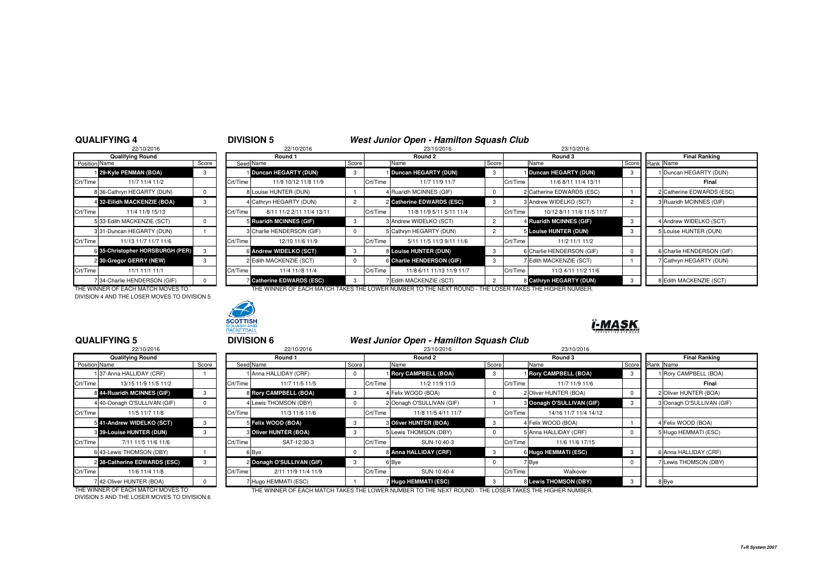### **QUALIFYING 4**

|               | 22/10/2016                       |          |          | 22/10/2016                     |
|---------------|----------------------------------|----------|----------|--------------------------------|
|               | <b>Qualifying Round</b>          |          |          | Round 1                        |
| Position Name |                                  | Score    |          | Seed Name                      |
|               | 29-Kyle PENMAN (BOA)             | 3        |          | Duncan HEGARTY (DUN)           |
| Crt/Time      | 11/7 11/4 11/2                   |          | Crt/Time | 11/9 10/12 11/8 1              |
|               | 8 36-Cathryn HEGARTY (DUN)       | 0        |          | 8 Louise HUNTER (DUN)          |
|               | 4 32-Eilidh MACKENZIE (BOA)      | 3        |          | 4 Cathryn HEGARTY (DUN)        |
| Crt/Time      | 11/4 11/9 15/13                  |          | Crt/Time | 8/11 11/2 2/11 11/4            |
|               | 5 33-Edith MACKENZIE (SCT)       | $\Omega$ |          | 5 Ruaridh MCINNES (GIF)        |
|               | 331-Duncan HEGARTY (DUN)         |          |          | 3 Charlie HENDERSON (GII       |
| Crt/Time      | 11/13 11/7 11/7 11/6             |          | Crt/Time | 12/10 11/6 11/9                |
|               | 6 35-Christopher HORSBURGH (PER) | 3        |          | 6 Andrew WIDELKO (SCT)         |
|               | 2 30-Gregor GERRY (NEW)          | 3        |          | 2 Edith MACKENZIE (SCT)        |
| Crt/Time      | 11/1 11/1 11/1                   |          | Crt/Time | 11/4 11//8 11/4                |
|               | 7 34-Charlie HENDERSON (GIF)     | $\Omega$ |          | <b>7 Catherine EDWARDS (ES</b> |

| 22/10/2016                        |       |          | 22/10/2016                       |                |          | 23/10/2016                                                                                             |       |          | 23/10/2016                |    |                           |
|-----------------------------------|-------|----------|----------------------------------|----------------|----------|--------------------------------------------------------------------------------------------------------|-------|----------|---------------------------|----|---------------------------|
| <b>Qualifying Round</b>           |       |          | Round 1                          |                |          | Round 2                                                                                                |       |          | Round 3                   |    | <b>Final Ranking</b>      |
| Position Name                     | Score |          | Seed Name                        | Score          |          | Name                                                                                                   | Score |          | Name                      |    | Score Rank Name           |
| 29-Kyle PENMAN (BOA)              |       |          | Duncan HEGARTY (DUN)             | 3              |          | Duncan HEGARTY (DUN)                                                                                   |       |          | Duncan HEGARTY (DUN)      |    | 1 Duncan HEGARTY (DUN)    |
| Crt/Time<br>11/7 11/4 11/2        |       | Crt/Time | 11/9 10/12 11/8 11/9             |                | Crt/Time | 11/7 11/9 11/7                                                                                         |       | Crt/Time | 11/6 8/11 11/4 13/11      |    | Final                     |
| 8 36-Cathryn HEGARTY (DUN)        |       |          | 8 Louise HUNTER (DUN)            |                |          | 4 Ruaridh MCINNES (GIF)                                                                                |       |          | 2 Catherine EDWARDS (ESC) |    | 2 Catherine EDWARDS (ESC) |
| 4 32-Eilidh MACKENZIE (BOA)       |       |          | 4 Cathryn HEGARTY (DUN)          | $\overline{2}$ |          | 2 Catherine EDWARDS (ESC)                                                                              |       |          | 3 Andrew WIDELKO (SCT)    |    | 3 Ruaridh MCINNES (GIF)   |
| Crt/Time<br>11/4 11/9 15/13       |       | Crt/Time | 8/11 11/2 2/11 11/4 13/11        |                | Crt/Time | 11/8 11/9 5/11 5/11 11/4                                                                               |       | Crt/Time | 10/12 8/11 11/6 11/5 11/7 |    |                           |
| 5 33-Edith MACKENZIE (SCT)        |       |          | 5 Ruaridh MCINNES (GIF)          | 3              |          | 3 Andrew WIDELKO (SCT)                                                                                 |       |          | 4 Ruaridh MCINNES (GIF)   |    | 4 Andrew WIDELKO (SCT)    |
| 3 31-Duncan HEGARTY (DUN)         |       |          | 3 Charlie HENDERSON (GIF)        | $^{\circ}$     |          | 5 Cathryn HEGARTY (DUN)                                                                                |       |          | 5 Louise HUNTER (DUN)     | -3 | 5 Louise HUNTER (DUN)     |
| Crt/Time<br>11/13 11/7 11/7 11/6  |       | Crt/Time | 12/10 11/6 11/9                  |                | Crt/Time | 5/11 11/5 11/3 9/11 11/6                                                                               |       | Crt/Time | 11/2 11/1 11/2            |    |                           |
| 6 35-Christopher HORSBURGH (PER)  |       |          | 6 Andrew WIDELKO (SCT)           | 3              |          | 8 Louise HUNTER (DUN)                                                                                  | -3    |          | 6 Charlie HENDERSON (GIF) |    | 6 Charlie HENDERSON (GIF) |
| 2 30-Gregor GERRY (NEW)           |       |          | 2 Edith MACKENZIE (SCT)          | $^{\circ}$     |          | 6 Charlie HENDERSON (GIF)                                                                              |       |          | 7 Edith MACKENZIE (SCT)   |    | 7 Cathryn HEGARTY (DUN)   |
| Crt/Time<br>11/1 11/1 11/1        |       | Crt/Time | 11/4 11//8 11/4                  |                | Crt/Time | 11/8 6/11 11/13 11/9 11/7                                                                              |       | Crt/Time | 11/3 4/11 11/2 11/6       |    |                           |
| 7 34-Charlie HENDERSON (GIF)      |       |          | <b>Z Catherine EDWARDS (ESC)</b> | 3              |          | 7 Edith MACKENZIE (SCT)                                                                                |       |          | 8 Cathryn HEGARTY (DUN)   |    | 8 Edith MACKENZIE (SCT)   |
| THE WINNER OF EACH MATCH MOVES TO |       |          |                                  |                |          | THE WINNER OF EACH MATCH TAKES THE LOWER NUMBER TO THE NEXT ROUND - THE LOSER TAKES THE HIGHER NUMBER. |       |          |                           |    |                           |

DIVISION 4 AND THE LOSER MOVES TO DIVISION 5



## ĭ-MASK

#### 22/10/2016**Qualifying RoundPosition Name** 1 37-Anna HALLIDAY (CRF)

**QUALIFYING 5**

| Crt/Time | 13/15 11/9 11/5 11/2         |   | Crt/Time |        |
|----------|------------------------------|---|----------|--------|
|          | 8 44-Ruaridh MCINNES (GIF)   | 3 |          | 8 Roi  |
|          | 4 40-Oonagh O'SULLIVAN (GIF) | 0 |          | Lew    |
| Crt/Time | 11/5 11/7 11/8               |   | Crt/Time |        |
|          | 541-Andrew WIDELKO (SCT)     | 3 |          | 5 Felt |
|          | 3 39-Louise HUNTER (DUN)     | 3 |          | 3 Oliv |
| Crt/Time | 7/11 11/5 11/6 11/6          |   | Crt/Time |        |
|          | 6 43-Lewis THOMSON (DBY)     |   | 6        | Bye    |
|          | 238-Catherine EDWARDS (ESC)  | 3 |          | Oor    |
| Crt/Time | 11/6 11/4 11/8               |   | Crt/Time |        |
|          | 742-Oliver HUNTER (BOA)      |   |          | Huc    |

|               | 22/10/2016                      |       |          | 22/10/2016                |            |          | 23/10/2016                   |       |          | 23/10/2016                 |    |                           |
|---------------|---------------------------------|-------|----------|---------------------------|------------|----------|------------------------------|-------|----------|----------------------------|----|---------------------------|
|               | <b>Qualifying Round</b>         |       |          | Round 1                   |            |          | Round 2                      |       |          | Round 3                    |    | <b>Final Ranking</b>      |
| Position Name |                                 | Score |          | Seed Name                 | Score      |          | Name                         | Score |          | Name                       |    | Score Rank Name           |
|               | 137-Anna HALLIDAY (CRF)         |       |          | 1 Anna HALLIDAY (CRF)     | $^{\circ}$ |          | <b>Bory CAMPBELL (BOA)</b>   |       |          | <b>Bory CAMPBELL (BOA)</b> |    | 1 Rory CAMPBELL (BOA)     |
| Crt/Time      | 13/15 11/9 11/5 11/2            |       | Crt/Time | 11/7 11/5 11/5            |            | Crt/Time | 11/2 11/9 11/3               |       | Crt/Time | 11/7 11/9 11/6             |    | Final                     |
|               | 8 44-Ruaridh MCINNES (GIF)      |       |          | 8 Rory CAMPBELL (BOA)     | 3          |          | 4 Felix WOOD (BOA)           |       |          | 2 Oliver HUNTER (BOA)      |    | 2 Oliver HUNTER (BOA)     |
|               | 4 40-Oonagh O'SULLIVAN (GIF)    |       |          | 4 Lewis THOMSON (DBY)     | $^{\circ}$ |          | 2 Oonagh O'SULLIVAN (GIF)    |       |          | 3 Oonagh O'SULLIVAN (GIF)  |    | 3 Oonagh O'SULLIVAN (GIF) |
| Crt/Time      | 11/5 11/7 11/8                  |       | Crt/Time | 11/3 11/6 11/6            |            | Crt/Time | 11/8 11/5 4/11 11/7          |       | Crt/Time | 14/16 11/7 11/4 14/12      |    |                           |
|               | 5 41-Andrew WIDELKO (SCT)       |       |          | 5 Felix WOOD (BOA)        | 3          |          | <b>3 Oliver HUNTER (BOA)</b> | -3    |          | 4 Felix WOOD (BOA)         |    | 4 Felix WOOD (BOA)        |
|               | <b>8 39-Louise HUNTER (DUN)</b> |       |          | 3 Oliver HUNTER (BOA)     | 3          |          | 5 Lewis THOMSON (DBY)        |       |          | 5 Anna HALLIDAY (CRF)      |    | 5 Hugo HEMMATI (ESC)      |
| Crt/Time      | 7/11 11/5 11/6 11/6             |       | Crt/Time | SAT-12:30-3               |            | Crt/Time | SUN-10:40-3                  |       | Crt/Time | 11/6 11/6 17/15            |    |                           |
|               | 6 43-Lewis THOMSON (DBY)        |       |          | 6 Bye                     | $^{\circ}$ |          | 8 Anna HALLIDAY (CRF)        |       |          | 6 Hugo HEMMATI (ESC)       | -3 | 6 Anna HALLIDAY (CRF)     |
|               | 2 38-Catherine EDWARDS (ESC)    |       |          | 2 Oonagh O'SULLIVAN (GIF) | 3          |          | 6 Bye                        |       |          | 7 Bye                      |    | 7 Lewis THOMSON (DBY)     |
| Crt/Time      | 11/6 11/4 11/8                  |       | Crt/Time | 2/11 11/9 11/4 11/9       |            | Crt/Time | SUN-10:40-4                  |       | Crt/Time | Walkover                   |    |                           |
|               | 7 42-Oliver HUNTER (BOA)        |       |          | 7 Hugo HEMMATI (ESC)      |            |          | Hugo HEMMATI (ESC)           |       |          | 8 Lewis THOMSON (DBY)      |    | 8 Bye                     |

DIVISION 5 AND THE LOSER MOVES TO DIVISION 6

THE WINNER OF EACH MATCH MOVES TO THE WINNER OF EACH MATCH TAKES THE LOWER NUMBER TO THE NEXT ROUND - THE LOSER TAKES THE HIGHER NUMBER.

<sup>4</sup> **DIVISION 5 West Junior Open - Hamilton Squash Club**